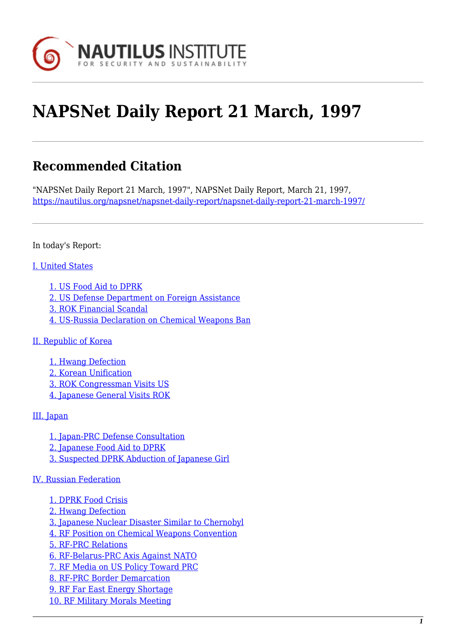

# **NAPSNet Daily Report 21 March, 1997**

# **Recommended Citation**

"NAPSNet Daily Report 21 March, 1997", NAPSNet Daily Report, March 21, 1997, <https://nautilus.org/napsnet/napsnet-daily-report/napsnet-daily-report-21-march-1997/>

In today's Report:

#### [I. United States](#page-2-0)

- [1. US Food Aid to DPRK](#page-2-1)
- [2. US Defense Department on Foreign Assistance](#page-2-2)
- [3. ROK Financial Scandal](#page-3-0)
- [4. US-Russia Declaration on Chemical Weapons Ban](#page-3-1)

#### [II. Republic of Korea](#page-4-0)

[1. Hwang Defection](#page-4-1) [2. Korean Unification](#page-4-2) [3. ROK Congressman Visits US](#page-4-3) [4. Japanese General Visits ROK](#page-5-0)

#### [III. Japan](#page-5-1)

[1. Japan-PRC Defense Consultation](#page-5-2) [2. Japanese Food Aid to DPRK](#page-5-3) [3. Suspected DPRK Abduction of Japanese Girl](#page-6-0)

#### [IV. Russian Federation](#page-6-1)

- [1. DPRK Food Crisis](#page-6-2) [2. Hwang Defection](#page-6-3) [3. Japanese Nuclear Disaster Similar to Chernobyl](#page-6-4) [4. RF Position on Chemical Weapons Convention](#page-7-0) [5. RF-PRC Relations](#page-7-1) [6. RF-Belarus-PRC Axis Against NATO](#page-7-2) [7. RF Media on US Policy Toward PRC](#page-7-3) [8. RF-PRC Border Demarcation](#page-8-0) [9. RF Far East Energy Shortage](#page-8-1)
- [10. RF Military Morals Meeting](#page-8-2)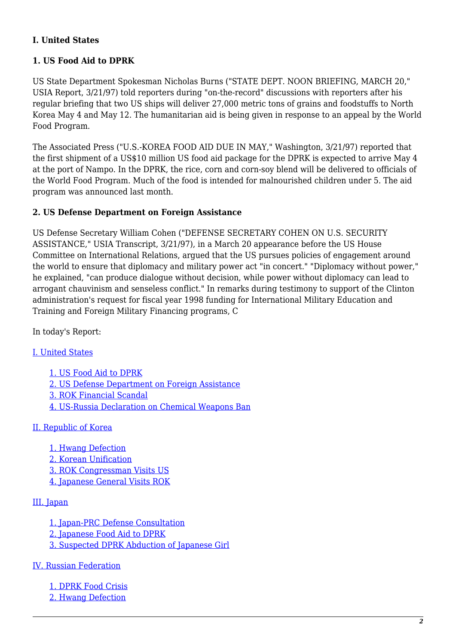#### **I. United States**

#### **1. US Food Aid to DPRK**

US State Department Spokesman Nicholas Burns ("STATE DEPT. NOON BRIEFING, MARCH 20," USIA Report, 3/21/97) told reporters during "on-the-record" discussions with reporters after his regular briefing that two US ships will deliver 27,000 metric tons of grains and foodstuffs to North Korea May 4 and May 12. The humanitarian aid is being given in response to an appeal by the World Food Program.

The Associated Press ("U.S.-KOREA FOOD AID DUE IN MAY," Washington, 3/21/97) reported that the first shipment of a US\$10 million US food aid package for the DPRK is expected to arrive May 4 at the port of Nampo. In the DPRK, the rice, corn and corn-soy blend will be delivered to officials of the World Food Program. Much of the food is intended for malnourished children under 5. The aid program was announced last month.

#### **2. US Defense Department on Foreign Assistance**

US Defense Secretary William Cohen ("DEFENSE SECRETARY COHEN ON U.S. SECURITY ASSISTANCE," USIA Transcript, 3/21/97), in a March 20 appearance before the US House Committee on International Relations, argued that the US pursues policies of engagement around the world to ensure that diplomacy and military power act "in concert." "Diplomacy without power," he explained, "can produce dialogue without decision, while power without diplomacy can lead to arrogant chauvinism and senseless conflict." In remarks during testimony to support of the Clinton administration's request for fiscal year 1998 funding for International Military Education and Training and Foreign Military Financing programs, C

In today's Report:

[I. United States](#page-2-0)

[1. US Food Aid to DPRK](#page-2-1) [2. US Defense Department on Foreign Assistance](#page-2-2) [3. ROK Financial Scandal](#page-3-0) [4. US-Russia Declaration on Chemical Weapons Ban](#page-3-1)

[II. Republic of Korea](#page-4-0)

[1. Hwang Defection](#page-4-1) [2. Korean Unification](#page-4-2)

- [3. ROK Congressman Visits US](#page-4-3)
- [4. Japanese General Visits ROK](#page-5-0)

#### [III. Japan](#page-5-1)

- [1. Japan-PRC Defense Consultation](#page-5-2)
- [2. Japanese Food Aid to DPRK](#page-5-3)
- [3. Suspected DPRK Abduction of Japanese Girl](#page-6-0)

[IV. Russian Federation](#page-6-1)

[1. DPRK Food Crisis](#page-6-2)

[2. Hwang Defection](#page-6-3)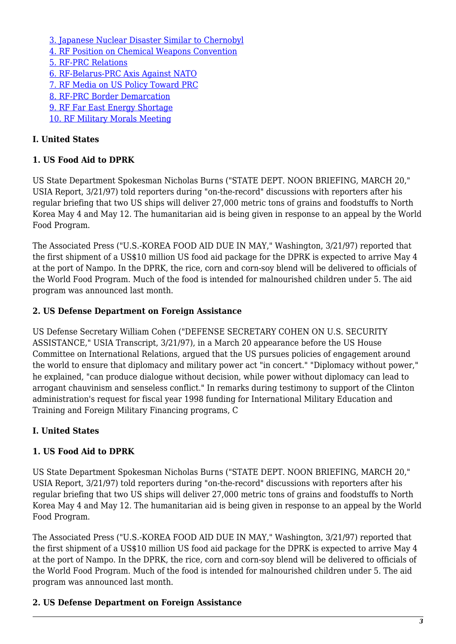[3. Japanese Nuclear Disaster Similar to Chernobyl](#page-6-4) [4. RF Position on Chemical Weapons Convention](#page-7-0) [5. RF-PRC Relations](#page-7-1) [6. RF-Belarus-PRC Axis Against NATO](#page-7-2) [7. RF Media on US Policy Toward PRC](#page-7-3) [8. RF-PRC Border Demarcation](#page-8-0) [9. RF Far East Energy Shortage](#page-8-1) [10. RF Military Morals Meeting](#page-8-2)

#### **I. United States**

#### **1. US Food Aid to DPRK**

US State Department Spokesman Nicholas Burns ("STATE DEPT. NOON BRIEFING, MARCH 20," USIA Report, 3/21/97) told reporters during "on-the-record" discussions with reporters after his regular briefing that two US ships will deliver 27,000 metric tons of grains and foodstuffs to North Korea May 4 and May 12. The humanitarian aid is being given in response to an appeal by the World Food Program.

The Associated Press ("U.S.-KOREA FOOD AID DUE IN MAY," Washington, 3/21/97) reported that the first shipment of a US\$10 million US food aid package for the DPRK is expected to arrive May 4 at the port of Nampo. In the DPRK, the rice, corn and corn-soy blend will be delivered to officials of the World Food Program. Much of the food is intended for malnourished children under 5. The aid program was announced last month.

#### **2. US Defense Department on Foreign Assistance**

US Defense Secretary William Cohen ("DEFENSE SECRETARY COHEN ON U.S. SECURITY ASSISTANCE," USIA Transcript, 3/21/97), in a March 20 appearance before the US House Committee on International Relations, argued that the US pursues policies of engagement around the world to ensure that diplomacy and military power act "in concert." "Diplomacy without power," he explained, "can produce dialogue without decision, while power without diplomacy can lead to arrogant chauvinism and senseless conflict." In remarks during testimony to support of the Clinton administration's request for fiscal year 1998 funding for International Military Education and Training and Foreign Military Financing programs, C

#### <span id="page-2-0"></span>**I. United States**

#### <span id="page-2-1"></span>**1. US Food Aid to DPRK**

US State Department Spokesman Nicholas Burns ("STATE DEPT. NOON BRIEFING, MARCH 20," USIA Report, 3/21/97) told reporters during "on-the-record" discussions with reporters after his regular briefing that two US ships will deliver 27,000 metric tons of grains and foodstuffs to North Korea May 4 and May 12. The humanitarian aid is being given in response to an appeal by the World Food Program.

The Associated Press ("U.S.-KOREA FOOD AID DUE IN MAY," Washington, 3/21/97) reported that the first shipment of a US\$10 million US food aid package for the DPRK is expected to arrive May 4 at the port of Nampo. In the DPRK, the rice, corn and corn-soy blend will be delivered to officials of the World Food Program. Much of the food is intended for malnourished children under 5. The aid program was announced last month.

#### <span id="page-2-2"></span>**2. US Defense Department on Foreign Assistance**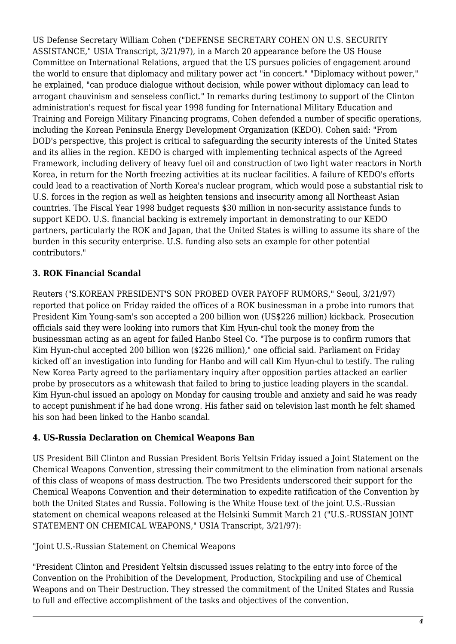US Defense Secretary William Cohen ("DEFENSE SECRETARY COHEN ON U.S. SECURITY ASSISTANCE," USIA Transcript, 3/21/97), in a March 20 appearance before the US House Committee on International Relations, argued that the US pursues policies of engagement around the world to ensure that diplomacy and military power act "in concert." "Diplomacy without power," he explained, "can produce dialogue without decision, while power without diplomacy can lead to arrogant chauvinism and senseless conflict." In remarks during testimony to support of the Clinton administration's request for fiscal year 1998 funding for International Military Education and Training and Foreign Military Financing programs, Cohen defended a number of specific operations, including the Korean Peninsula Energy Development Organization (KEDO). Cohen said: "From DOD's perspective, this project is critical to safeguarding the security interests of the United States and its allies in the region. KEDO is charged with implementing technical aspects of the Agreed Framework, including delivery of heavy fuel oil and construction of two light water reactors in North Korea, in return for the North freezing activities at its nuclear facilities. A failure of KEDO's efforts could lead to a reactivation of North Korea's nuclear program, which would pose a substantial risk to U.S. forces in the region as well as heighten tensions and insecurity among all Northeast Asian countries. The Fiscal Year 1998 budget requests \$30 million in non-security assistance funds to support KEDO. U.S. financial backing is extremely important in demonstrating to our KEDO partners, particularly the ROK and Japan, that the United States is willing to assume its share of the burden in this security enterprise. U.S. funding also sets an example for other potential contributors."

## <span id="page-3-0"></span>**3. ROK Financial Scandal**

Reuters ("S.KOREAN PRESIDENT'S SON PROBED OVER PAYOFF RUMORS," Seoul, 3/21/97) reported that police on Friday raided the offices of a ROK businessman in a probe into rumors that President Kim Young-sam's son accepted a 200 billion won (US\$226 million) kickback. Prosecution officials said they were looking into rumors that Kim Hyun-chul took the money from the businessman acting as an agent for failed Hanbo Steel Co. "The purpose is to confirm rumors that Kim Hyun-chul accepted 200 billion won (\$226 million)," one official said. Parliament on Friday kicked off an investigation into funding for Hanbo and will call Kim Hyun-chul to testify. The ruling New Korea Party agreed to the parliamentary inquiry after opposition parties attacked an earlier probe by prosecutors as a whitewash that failed to bring to justice leading players in the scandal. Kim Hyun-chul issued an apology on Monday for causing trouble and anxiety and said he was ready to accept punishment if he had done wrong. His father said on television last month he felt shamed his son had been linked to the Hanbo scandal.

#### <span id="page-3-1"></span>**4. US-Russia Declaration on Chemical Weapons Ban**

US President Bill Clinton and Russian President Boris Yeltsin Friday issued a Joint Statement on the Chemical Weapons Convention, stressing their commitment to the elimination from national arsenals of this class of weapons of mass destruction. The two Presidents underscored their support for the Chemical Weapons Convention and their determination to expedite ratification of the Convention by both the United States and Russia. Following is the White House text of the joint U.S.-Russian statement on chemical weapons released at the Helsinki Summit March 21 ("U.S.-RUSSIAN JOINT STATEMENT ON CHEMICAL WEAPONS," USIA Transcript, 3/21/97):

"Joint U.S.-Russian Statement on Chemical Weapons

"President Clinton and President Yeltsin discussed issues relating to the entry into force of the Convention on the Prohibition of the Development, Production, Stockpiling and use of Chemical Weapons and on Their Destruction. They stressed the commitment of the United States and Russia to full and effective accomplishment of the tasks and objectives of the convention.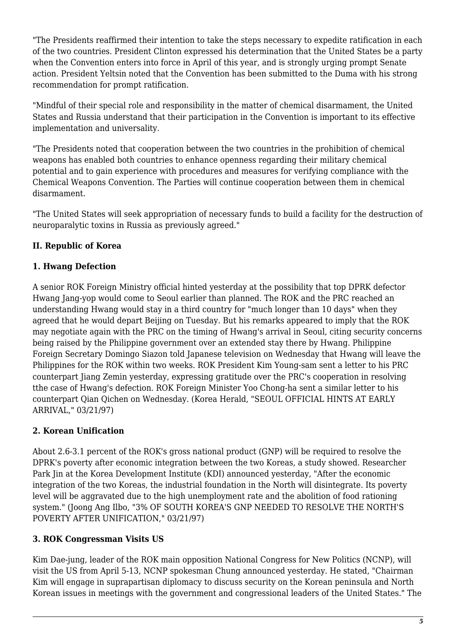"The Presidents reaffirmed their intention to take the steps necessary to expedite ratification in each of the two countries. President Clinton expressed his determination that the United States be a party when the Convention enters into force in April of this year, and is strongly urging prompt Senate action. President Yeltsin noted that the Convention has been submitted to the Duma with his strong recommendation for prompt ratification.

"Mindful of their special role and responsibility in the matter of chemical disarmament, the United States and Russia understand that their participation in the Convention is important to its effective implementation and universality.

"The Presidents noted that cooperation between the two countries in the prohibition of chemical weapons has enabled both countries to enhance openness regarding their military chemical potential and to gain experience with procedures and measures for verifying compliance with the Chemical Weapons Convention. The Parties will continue cooperation between them in chemical disarmament.

"The United States will seek appropriation of necessary funds to build a facility for the destruction of neuroparalytic toxins in Russia as previously agreed."

# <span id="page-4-0"></span>**II. Republic of Korea**

## <span id="page-4-1"></span>**1. Hwang Defection**

A senior ROK Foreign Ministry official hinted yesterday at the possibility that top DPRK defector Hwang Jang-yop would come to Seoul earlier than planned. The ROK and the PRC reached an understanding Hwang would stay in a third country for "much longer than 10 days" when they agreed that he would depart Beijing on Tuesday. But his remarks appeared to imply that the ROK may negotiate again with the PRC on the timing of Hwang's arrival in Seoul, citing security concerns being raised by the Philippine government over an extended stay there by Hwang. Philippine Foreign Secretary Domingo Siazon told Japanese television on Wednesday that Hwang will leave the Philippines for the ROK within two weeks. ROK President Kim Young-sam sent a letter to his PRC counterpart Jiang Zemin yesterday, expressing gratitude over the PRC's cooperation in resolving tthe case of Hwang's defection. ROK Foreign Minister Yoo Chong-ha sent a similar letter to his counterpart Qian Qichen on Wednesday. (Korea Herald, "SEOUL OFFICIAL HINTS AT EARLY ARRIVAL," 03/21/97)

# <span id="page-4-2"></span>**2. Korean Unification**

About 2.6-3.1 percent of the ROK's gross national product (GNP) will be required to resolve the DPRK's poverty after economic integration between the two Koreas, a study showed. Researcher Park Jin at the Korea Development Institute (KDI) announced vesterday, "After the economic integration of the two Koreas, the industrial foundation in the North will disintegrate. Its poverty level will be aggravated due to the high unemployment rate and the abolition of food rationing system." (Joong Ang Ilbo, "3% OF SOUTH KOREA'S GNP NEEDED TO RESOLVE THE NORTH'S POVERTY AFTER UNIFICATION," 03/21/97)

## <span id="page-4-3"></span>**3. ROK Congressman Visits US**

Kim Dae-jung, leader of the ROK main opposition National Congress for New Politics (NCNP), will visit the US from April 5-13, NCNP spokesman Chung announced yesterday. He stated, "Chairman Kim will engage in suprapartisan diplomacy to discuss security on the Korean peninsula and North Korean issues in meetings with the government and congressional leaders of the United States." The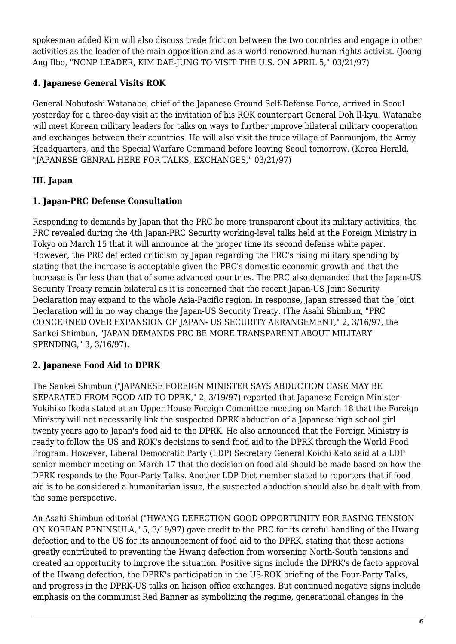spokesman added Kim will also discuss trade friction between the two countries and engage in other activities as the leader of the main opposition and as a world-renowned human rights activist. (Joong Ang Ilbo, "NCNP LEADER, KIM DAE-JUNG TO VISIT THE U.S. ON APRIL 5," 03/21/97)

# <span id="page-5-0"></span>**4. Japanese General Visits ROK**

General Nobutoshi Watanabe, chief of the Japanese Ground Self-Defense Force, arrived in Seoul yesterday for a three-day visit at the invitation of his ROK counterpart General Doh Il-kyu. Watanabe will meet Korean military leaders for talks on ways to further improve bilateral military cooperation and exchanges between their countries. He will also visit the truce village of Panmunjom, the Army Headquarters, and the Special Warfare Command before leaving Seoul tomorrow. (Korea Herald, "JAPANESE GENRAL HERE FOR TALKS, EXCHANGES," 03/21/97)

# <span id="page-5-1"></span>**III. Japan**

# <span id="page-5-2"></span>**1. Japan-PRC Defense Consultation**

Responding to demands by Japan that the PRC be more transparent about its military activities, the PRC revealed during the 4th Japan-PRC Security working-level talks held at the Foreign Ministry in Tokyo on March 15 that it will announce at the proper time its second defense white paper. However, the PRC deflected criticism by Japan regarding the PRC's rising military spending by stating that the increase is acceptable given the PRC's domestic economic growth and that the increase is far less than that of some advanced countries. The PRC also demanded that the Japan-US Security Treaty remain bilateral as it is concerned that the recent Japan-US Joint Security Declaration may expand to the whole Asia-Pacific region. In response, Japan stressed that the Joint Declaration will in no way change the Japan-US Security Treaty. (The Asahi Shimbun, "PRC CONCERNED OVER EXPANSION OF JAPAN- US SECURITY ARRANGEMENT," 2, 3/16/97, the Sankei Shimbun, "JAPAN DEMANDS PRC BE MORE TRANSPARENT ABOUT MILITARY SPENDING," 3, 3/16/97).

# <span id="page-5-3"></span>**2. Japanese Food Aid to DPRK**

The Sankei Shimbun ("JAPANESE FOREIGN MINISTER SAYS ABDUCTION CASE MAY BE SEPARATED FROM FOOD AID TO DPRK," 2, 3/19/97) reported that Japanese Foreign Minister Yukihiko Ikeda stated at an Upper House Foreign Committee meeting on March 18 that the Foreign Ministry will not necessarily link the suspected DPRK abduction of a Japanese high school girl twenty years ago to Japan's food aid to the DPRK. He also announced that the Foreign Ministry is ready to follow the US and ROK's decisions to send food aid to the DPRK through the World Food Program. However, Liberal Democratic Party (LDP) Secretary General Koichi Kato said at a LDP senior member meeting on March 17 that the decision on food aid should be made based on how the DPRK responds to the Four-Party Talks. Another LDP Diet member stated to reporters that if food aid is to be considered a humanitarian issue, the suspected abduction should also be dealt with from the same perspective.

An Asahi Shimbun editorial ("HWANG DEFECTION GOOD OPPORTUNITY FOR EASING TENSION ON KOREAN PENINSULA," 5, 3/19/97) gave credit to the PRC for its careful handling of the Hwang defection and to the US for its announcement of food aid to the DPRK, stating that these actions greatly contributed to preventing the Hwang defection from worsening North-South tensions and created an opportunity to improve the situation. Positive signs include the DPRK's de facto approval of the Hwang defection, the DPRK's participation in the US-ROK briefing of the Four-Party Talks, and progress in the DPRK-US talks on liaison office exchanges. But continued negative signs include emphasis on the communist Red Banner as symbolizing the regime, generational changes in the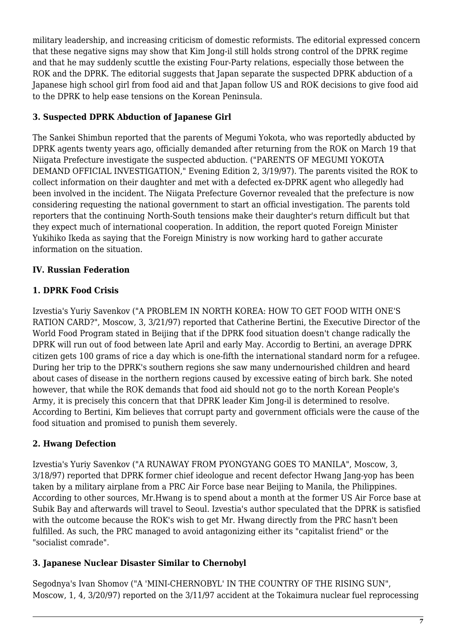military leadership, and increasing criticism of domestic reformists. The editorial expressed concern that these negative signs may show that Kim Jong-il still holds strong control of the DPRK regime and that he may suddenly scuttle the existing Four-Party relations, especially those between the ROK and the DPRK. The editorial suggests that Japan separate the suspected DPRK abduction of a Japanese high school girl from food aid and that Japan follow US and ROK decisions to give food aid to the DPRK to help ease tensions on the Korean Peninsula.

# <span id="page-6-0"></span>**3. Suspected DPRK Abduction of Japanese Girl**

The Sankei Shimbun reported that the parents of Megumi Yokota, who was reportedly abducted by DPRK agents twenty years ago, officially demanded after returning from the ROK on March 19 that Niigata Prefecture investigate the suspected abduction. ("PARENTS OF MEGUMI YOKOTA DEMAND OFFICIAL INVESTIGATION," Evening Edition 2, 3/19/97). The parents visited the ROK to collect information on their daughter and met with a defected ex-DPRK agent who allegedly had been involved in the incident. The Niigata Prefecture Governor revealed that the prefecture is now considering requesting the national government to start an official investigation. The parents told reporters that the continuing North-South tensions make their daughter's return difficult but that they expect much of international cooperation. In addition, the report quoted Foreign Minister Yukihiko Ikeda as saying that the Foreign Ministry is now working hard to gather accurate information on the situation.

# <span id="page-6-1"></span>**IV. Russian Federation**

# <span id="page-6-2"></span>**1. DPRK Food Crisis**

Izvestia's Yuriy Savenkov ("A PROBLEM IN NORTH KOREA: HOW TO GET FOOD WITH ONE'S RATION CARD?", Moscow, 3, 3/21/97) reported that Catherine Bertini, the Executive Director of the World Food Program stated in Beijing that if the DPRK food situation doesn't change radically the DPRK will run out of food between late April and early May. Accordig to Bertini, an average DPRK citizen gets 100 grams of rice a day which is one-fifth the international standard norm for a refugee. During her trip to the DPRK's southern regions she saw many undernourished children and heard about cases of disease in the northern regions caused by excessive eating of birch bark. She noted however, that while the ROK demands that food aid should not go to the north Korean People's Army, it is precisely this concern that that DPRK leader Kim Jong-il is determined to resolve. According to Bertini, Kim believes that corrupt party and government officials were the cause of the food situation and promised to punish them severely.

# <span id="page-6-3"></span>**2. Hwang Defection**

Izvestia's Yuriy Savenkov ("A RUNAWAY FROM PYONGYANG GOES TO MANILA", Moscow, 3, 3/18/97) reported that DPRK former chief ideologue and recent defector Hwang Jang-yop has been taken by a military airplane from a PRC Air Force base near Beijing to Manila, the Philippines. According to other sources, Mr.Hwang is to spend about a month at the former US Air Force base at Subik Bay and afterwards will travel to Seoul. Izvestia's author speculated that the DPRK is satisfied with the outcome because the ROK's wish to get Mr. Hwang directly from the PRC hasn't been fulfilled. As such, the PRC managed to avoid antagonizing either its "capitalist friend" or the "socialist comrade".

## <span id="page-6-4"></span>**3. Japanese Nuclear Disaster Similar to Chernobyl**

Segodnya's Ivan Shomov ("A 'MINI-CHERNOBYL' IN THE COUNTRY OF THE RISING SUN", Moscow, 1, 4, 3/20/97) reported on the 3/11/97 accident at the Tokaimura nuclear fuel reprocessing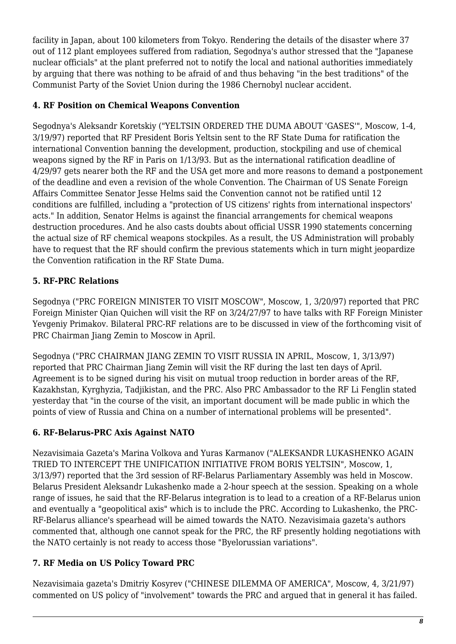facility in Japan, about 100 kilometers from Tokyo. Rendering the details of the disaster where 37 out of 112 plant employees suffered from radiation, Segodnya's author stressed that the "Japanese nuclear officials" at the plant preferred not to notify the local and national authorities immediately by arguing that there was nothing to be afraid of and thus behaving "in the best traditions" of the Communist Party of the Soviet Union during the 1986 Chernobyl nuclear accident.

## <span id="page-7-0"></span>**4. RF Position on Chemical Weapons Convention**

Segodnya's Aleksandr Koretskiy ("YELTSIN ORDERED THE DUMA ABOUT 'GASES'", Moscow, 1-4, 3/19/97) reported that RF President Boris Yeltsin sent to the RF State Duma for ratification the international Convention banning the development, production, stockpiling and use of chemical weapons signed by the RF in Paris on 1/13/93. But as the international ratification deadline of 4/29/97 gets nearer both the RF and the USA get more and more reasons to demand a postponement of the deadline and even a revision of the whole Convention. The Chairman of US Senate Foreign Affairs Committee Senator Jesse Helms said the Convention cannot not be ratified until 12 conditions are fulfilled, including a "protection of US citizens' rights from international inspectors' acts." In addition, Senator Helms is against the financial arrangements for chemical weapons destruction procedures. And he also casts doubts about official USSR 1990 statements concerning the actual size of RF chemical weapons stockpiles. As a result, the US Administration will probably have to request that the RF should confirm the previous statements which in turn might jeopardize the Convention ratification in the RF State Duma.

# <span id="page-7-1"></span>**5. RF-PRC Relations**

Segodnya ("PRC FOREIGN MINISTER TO VISIT MOSCOW", Moscow, 1, 3/20/97) reported that PRC Foreign Minister Qian Quichen will visit the RF on 3/24/27/97 to have talks with RF Foreign Minister Yevgeniy Primakov. Bilateral PRC-RF relations are to be discussed in view of the forthcoming visit of PRC Chairman Jiang Zemin to Moscow in April.

Segodnya ("PRC CHAIRMAN JIANG ZEMIN TO VISIT RUSSIA IN APRIL, Moscow, 1, 3/13/97) reported that PRC Chairman Jiang Zemin will visit the RF during the last ten days of April. Agreement is to be signed during his visit on mutual troop reduction in border areas of the RF, Kazakhstan, Kyrghyzia, Tadjikistan, and the PRC. Also PRC Ambassador to the RF Li Fenglin stated yesterday that "in the course of the visit, an important document will be made public in which the points of view of Russia and China on a number of international problems will be presented".

# <span id="page-7-2"></span>**6. RF-Belarus-PRC Axis Against NATO**

Nezavisimaia Gazeta's Marina Volkova and Yuras Karmanov ("ALEKSANDR LUKASHENKO AGAIN TRIED TO INTERCEPT THE UNIFICATION INITIATIVE FROM BORIS YELTSIN", Moscow, 1, 3/13/97) reported that the 3rd session of RF-Belarus Parliamentary Assembly was held in Moscow. Belarus President Aleksandr Lukashenko made a 2-hour speech at the session. Speaking on a whole range of issues, he said that the RF-Belarus integration is to lead to a creation of a RF-Belarus union and eventually a "geopolitical axis" which is to include the PRC. According to Lukashenko, the PRC-RF-Belarus alliance's spearhead will be aimed towards the NATO. Nezavisimaia gazeta's authors commented that, although one cannot speak for the PRC, the RF presently holding negotiations with the NATO certainly is not ready to access those "Byelorussian variations".

# <span id="page-7-3"></span>**7. RF Media on US Policy Toward PRC**

Nezavisimaia gazeta's Dmitriy Kosyrev ("CHINESE DILEMMA OF AMERICA", Moscow, 4, 3/21/97) commented on US policy of "involvement" towards the PRC and argued that in general it has failed.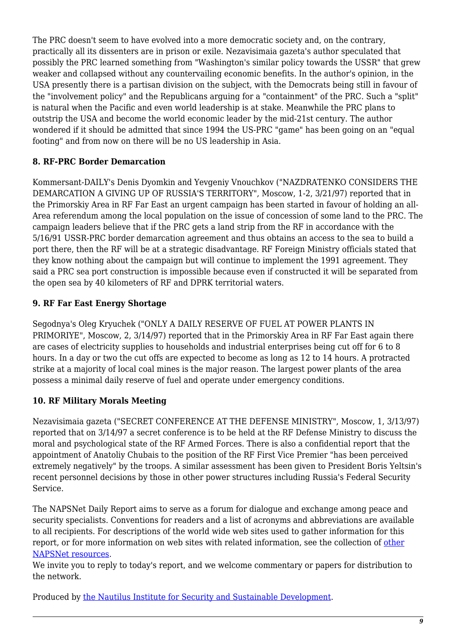The PRC doesn't seem to have evolved into a more democratic society and, on the contrary, practically all its dissenters are in prison or exile. Nezavisimaia gazeta's author speculated that possibly the PRC learned something from "Washington's similar policy towards the USSR" that grew weaker and collapsed without any countervailing economic benefits. In the author's opinion, in the USA presently there is a partisan division on the subject, with the Democrats being still in favour of the "involvement policy" and the Republicans arguing for a "containment" of the PRC. Such a "split" is natural when the Pacific and even world leadership is at stake. Meanwhile the PRC plans to outstrip the USA and become the world economic leader by the mid-21st century. The author wondered if it should be admitted that since 1994 the US-PRC "game" has been going on an "equal footing" and from now on there will be no US leadership in Asia.

#### <span id="page-8-0"></span>**8. RF-PRC Border Demarcation**

Kommersant-DAILY's Denis Dyomkin and Yevgeniy Vnouchkov ("NAZDRATENKO CONSIDERS THE DEMARCATION A GIVING UP OF RUSSIA'S TERRITORY", Moscow, 1-2, 3/21/97) reported that in the Primorskiy Area in RF Far East an urgent campaign has been started in favour of holding an all-Area referendum among the local population on the issue of concession of some land to the PRC. The campaign leaders believe that if the PRC gets a land strip from the RF in accordance with the 5/16/91 USSR-PRC border demarcation agreement and thus obtains an access to the sea to build a port there, then the RF will be at a strategic disadvantage. RF Foreign Ministry officials stated that they know nothing about the campaign but will continue to implement the 1991 agreement. They said a PRC sea port construction is impossible because even if constructed it will be separated from the open sea by 40 kilometers of RF and DPRK territorial waters.

## <span id="page-8-1"></span>**9. RF Far East Energy Shortage**

Segodnya's Oleg Kryuchek ("ONLY A DAILY RESERVE OF FUEL AT POWER PLANTS IN PRIMORIYE", Moscow, 2, 3/14/97) reported that in the Primorskiy Area in RF Far East again there are cases of electricity supplies to households and industrial enterprises being cut off for 6 to 8 hours. In a day or two the cut offs are expected to become as long as 12 to 14 hours. A protracted strike at a majority of local coal mines is the major reason. The largest power plants of the area possess a minimal daily reserve of fuel and operate under emergency conditions.

#### <span id="page-8-2"></span>**10. RF Military Morals Meeting**

Nezavisimaia gazeta ("SECRET CONFERENCE AT THE DEFENSE MINISTRY", Moscow, 1, 3/13/97) reported that on 3/14/97 a secret conference is to be held at the RF Defense Ministry to discuss the moral and psychological state of the RF Armed Forces. There is also a confidential report that the appointment of Anatoliy Chubais to the position of the RF First Vice Premier "has been perceived extremely negatively" by the troops. A similar assessment has been given to President Boris Yeltsin's recent personnel decisions by those in other power structures including Russia's Federal Security Service.

The NAPSNet Daily Report aims to serve as a forum for dialogue and exchange among peace and security specialists. Conventions for readers and a list of acronyms and abbreviations are available to all recipients. For descriptions of the world wide web sites used to gather information for this report, or for more information on web sites with related information, see the collection of [other](http://www.nautilus.org/napsnet/othnaps.html) [NAPSNet resources.](http://www.nautilus.org/napsnet/othnaps.html)

We invite you to reply to today's report, and we welcome commentary or papers for distribution to the network.

Produced by [the Nautilus Institute for Security and Sustainable Development](http://www.nautilus.org/morenaut.html).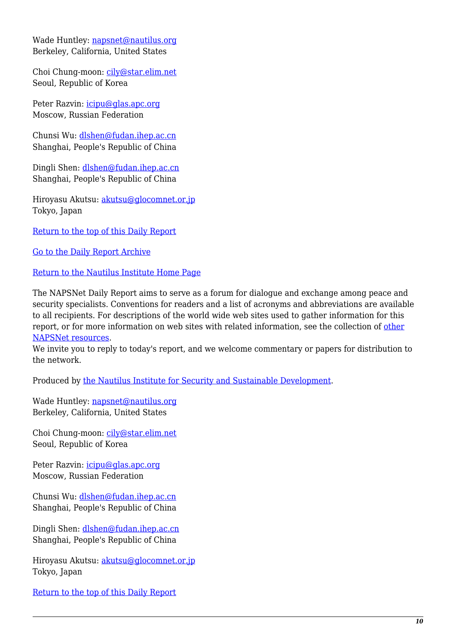Wade Huntley: [napsnet@nautilus.org](mailto:napsnet@nautilus.org) Berkeley, California, United States

Choi Chung-moon: [cily@star.elim.net](mailto:cily@star.elim.net) Seoul, Republic of Korea

Peter Razvin: [icipu@glas.apc.org](mailto:icipu@glas.apc.org) Moscow, Russian Federation

Chunsi Wu: [dlshen@fudan.ihep.ac.cn](mailto:dlshen@fudan.ihep.ac.cn (Chunsi Wu)) Shanghai, People's Republic of China

Dingli Shen: [dlshen@fudan.ihep.ac.cn](mailto:dlshen@fudan.ihep.ac.cn (Dingli Shen)) Shanghai, People's Republic of China

Hiroyasu Akutsu: [akutsu@glocomnet.or.jp](mailto:akutsu@glocomnet.or.jp) Tokyo, Japan

[Return to the top of this Daily Report](#page--1-0)

[Go to the Daily Report Archive](http://www.nautilus.org/pub/ftp/napsnet/daily_reports)

[Return to the Nautilus Institute Home Page](http://www.nautilus.org)

The NAPSNet Daily Report aims to serve as a forum for dialogue and exchange among peace and security specialists. Conventions for readers and a list of acronyms and abbreviations are available to all recipients. For descriptions of the world wide web sites used to gather information for this report, or for more information on web sites with related information, see the collection of [other](http://www.nautilus.org/napsnet/othnaps.html) [NAPSNet resources.](http://www.nautilus.org/napsnet/othnaps.html)

We invite you to reply to today's report, and we welcome commentary or papers for distribution to the network.

Produced by [the Nautilus Institute for Security and Sustainable Development](http://www.nautilus.org/morenaut.html).

Wade Huntley: [napsnet@nautilus.org](mailto:napsnet@nautilus.org) Berkeley, California, United States

Choi Chung-moon: [cily@star.elim.net](mailto:cily@star.elim.net) Seoul, Republic of Korea

Peter Razvin: [icipu@glas.apc.org](mailto:icipu@glas.apc.org) Moscow, Russian Federation

Chunsi Wu: [dlshen@fudan.ihep.ac.cn](mailto:dlshen@fudan.ihep.ac.cn (Chunsi Wu)) Shanghai, People's Republic of China

Dingli Shen: [dlshen@fudan.ihep.ac.cn](mailto:dlshen@fudan.ihep.ac.cn (Dingli Shen)) Shanghai, People's Republic of China

Hiroyasu Akutsu: [akutsu@glocomnet.or.jp](mailto:akutsu@glocomnet.or.jp) Tokyo, Japan

[Return to the top of this Daily Report](#page--1-0)